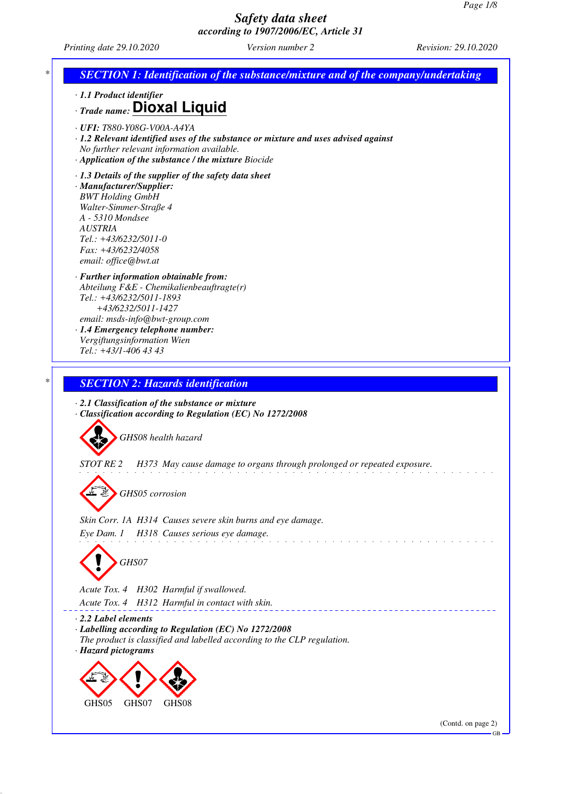*Printing date 29.10.2020 Version number 2 Revision: 29.10.2020*

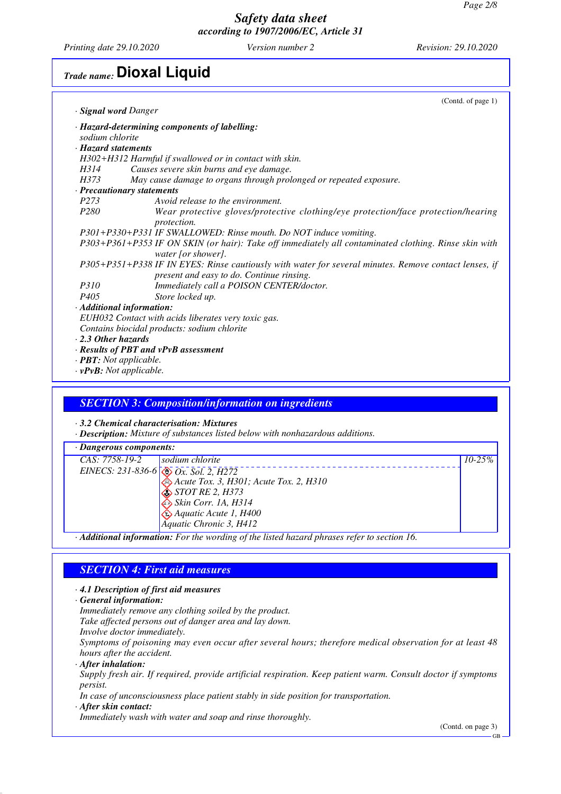*Printing date 29.10.2020 Version number 2 Revision: 29.10.2020*

# *Trade name:* **Dioxal Liquid**

|                                | (Contd. of page 1)                                                                                                                                 |
|--------------------------------|----------------------------------------------------------------------------------------------------------------------------------------------------|
| · <b>Signal word</b> Danger    |                                                                                                                                                    |
|                                | · Hazard-determining components of labelling:                                                                                                      |
| sodium chlorite                |                                                                                                                                                    |
| · Hazard statements            |                                                                                                                                                    |
|                                | H302+H312 Harmful if swallowed or in contact with skin.                                                                                            |
| H314                           | Causes severe skin burns and eye damage.                                                                                                           |
| H373                           | May cause damage to organs through prolonged or repeated exposure.                                                                                 |
| · Precautionary statements     |                                                                                                                                                    |
| P <sub>273</sub>               | Avoid release to the environment.                                                                                                                  |
| <i>P280</i>                    | Wear protective gloves/protective clothing/eye protection/face protection/hearing<br><i>protection.</i>                                            |
|                                | P301+P330+P331 IF SWALLOWED: Rinse mouth. Do NOT induce vomiting.                                                                                  |
|                                | P303+P361+P353 IF ON SKIN (or hair): Take off immediately all contaminated clothing. Rinse skin with<br>water [or shower].                         |
|                                | P305+P351+P338 IF IN EYES: Rinse cautiously with water for several minutes. Remove contact lenses, if<br>present and easy to do. Continue rinsing. |
| <i>P310</i>                    | Immediately call a POISON CENTER/doctor.                                                                                                           |
| P <sub>405</sub>               | Store locked up.                                                                                                                                   |
| · Additional information:      |                                                                                                                                                    |
|                                | EUH032 Contact with acids liberates very toxic gas.                                                                                                |
|                                | Contains biocidal products: sodium chlorite                                                                                                        |
| $\cdot$ 2.3 Other hazards      |                                                                                                                                                    |
|                                | · Results of PBT and vPvB assessment                                                                                                               |
| · <b>PBT</b> : Not applicable. |                                                                                                                                                    |
| $\cdot$ vPvB: Not applicable.  |                                                                                                                                                    |

#### *SECTION 3: Composition/information on ingredients*

*· 3.2 Chemical characterisation: Mixtures*

*· Description: Mixture of substances listed below with nonhazardous additions.*

*· Dangerous components: CAS: 7758-19-2 EINECS: 231-836-6 sodium chlorite Ox. Sol. 2, H272 Acute Tox. 3, H301; Acute Tox. 2, H310 STOT RE 2, H373 Skin Corr. 1A, H314 Aquatic Acute 1, H400 Aquatic Chronic 3, H412 10-25%*

*· Additional information: For the wording of the listed hazard phrases refer to section 16.*

#### *SECTION 4: First aid measures*

*· 4.1 Description of first aid measures*

*· General information:*

*Immediately remove any clothing soiled by the product.*

- *Take affected persons out of danger area and lay down.*
- *Involve doctor immediately.*

*Symptoms of poisoning may even occur after several hours; therefore medical observation for at least 48 hours after the accident.*

*· After inhalation:*

*Supply fresh air. If required, provide artificial respiration. Keep patient warm. Consult doctor if symptoms persist.*

*In case of unconsciousness place patient stably in side position for transportation.*

*· After skin contact:*

*Immediately wash with water and soap and rinse thoroughly.*

(Contd. on page 3)

GB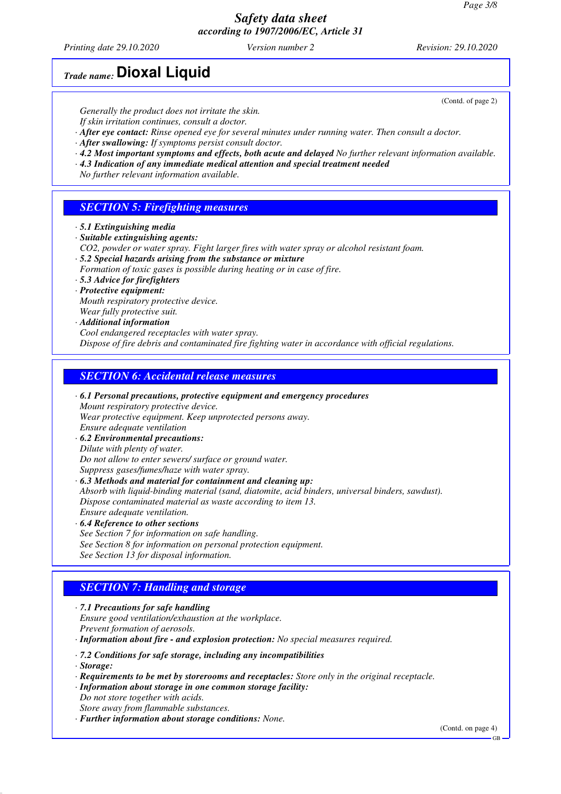*Printing date 29.10.2020 Version number 2 Revision: 29.10.2020*

*Trade name:* **Dioxal Liquid**

*Generally the product does not irritate the skin.*

*If skin irritation continues, consult a doctor.*

*· After eye contact: Rinse opened eye for several minutes under running water. Then consult a doctor.*

*· After swallowing: If symptoms persist consult doctor.*

- *· 4.2 Most important symptoms and effects, both acute and delayed No further relevant information available.*
- *· 4.3 Indication of any immediate medical attention and special treatment needed*

*No further relevant information available.*

## *SECTION 5: Firefighting measures*

- *· 5.1 Extinguishing media*
- *· Suitable extinguishing agents:*
- *CO2, powder or water spray. Fight larger fires with water spray or alcohol resistant foam.*
- *· 5.2 Special hazards arising from the substance or mixture*
- *Formation of toxic gases is possible during heating or in case of fire.*
- *· 5.3 Advice for firefighters*

*· Protective equipment:*

- *Mouth respiratory protective device.*
- *Wear fully protective suit.*
- *· Additional information*

*Cool endangered receptacles with water spray. Dispose of fire debris and contaminated fire fighting water in accordance with official regulations.*

#### *SECTION 6: Accidental release measures*

*· 6.1 Personal precautions, protective equipment and emergency procedures Mount respiratory protective device. Wear protective equipment. Keep unprotected persons away. Ensure adequate ventilation · 6.2 Environmental precautions:*

*Dilute with plenty of water.*

*Do not allow to enter sewers/ surface or ground water.*

*Suppress gases/fumes/haze with water spray.*

*· 6.3 Methods and material for containment and cleaning up:*

*Absorb with liquid-binding material (sand, diatomite, acid binders, universal binders, sawdust). Dispose contaminated material as waste according to item 13.*

- *Ensure adequate ventilation.*
- *· 6.4 Reference to other sections*
- *See Section 7 for information on safe handling.*
- *See Section 8 for information on personal protection equipment.*

*See Section 13 for disposal information.*

## *SECTION 7: Handling and storage*

*· 7.1 Precautions for safe handling Ensure good ventilation/exhaustion at the workplace. Prevent formation of aerosols.*

*· Information about fire - and explosion protection: No special measures required.*

*· 7.2 Conditions for safe storage, including any incompatibilities*

- *· Storage:*
- *· Requirements to be met by storerooms and receptacles: Store only in the original receptacle.*
- *· Information about storage in one common storage facility:*
- *Do not store together with acids.*
- *Store away from flammable substances.*
- *· Further information about storage conditions: None.*

(Contd. on page 4)

(Contd. of page 2)

GB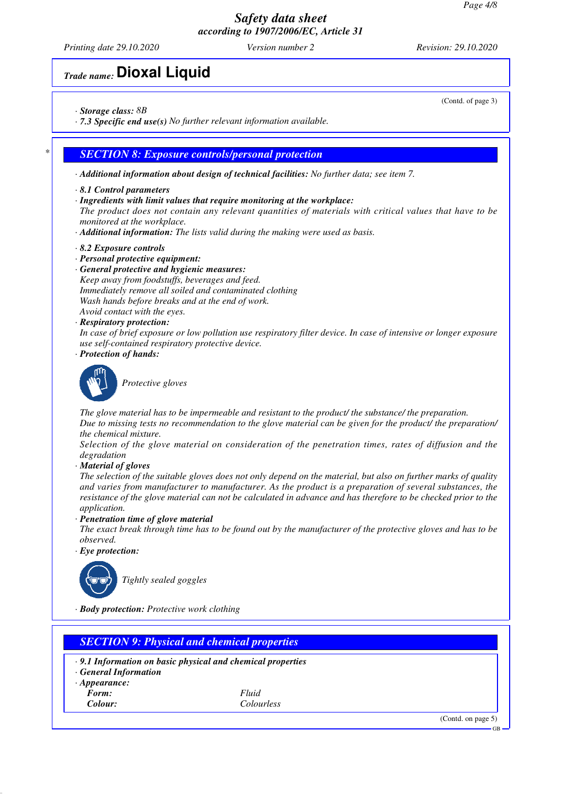*Printing date 29.10.2020 Version number 2 Revision: 29.10.2020*

# *Trade name:* **Dioxal Liquid**

*· Storage class: 8B*

*· 7.3 Specific end use(s) No further relevant information available.*

#### *\* SECTION 8: Exposure controls/personal protection*

- *· Additional information about design of technical facilities: No further data; see item 7.*
- *· 8.1 Control parameters*
- *· Ingredients with limit values that require monitoring at the workplace: The product does not contain any relevant quantities of materials with critical values that have to be monitored at the workplace.*
- *· Additional information: The lists valid during the making were used as basis.*
- *· 8.2 Exposure controls*
- *· Personal protective equipment:*
- *· General protective and hygienic measures: Keep away from foodstuffs, beverages and feed. Immediately remove all soiled and contaminated clothing Wash hands before breaks and at the end of work. Avoid contact with the eyes.*
- *· Respiratory protection:*
- *In case of brief exposure or low pollution use respiratory filter device. In case of intensive or longer exposure use self-contained respiratory protective device.*
- *· Protection of hands:*



*Protective gloves*

*The glove material has to be impermeable and resistant to the product/ the substance/ the preparation. Due to missing tests no recommendation to the glove material can be given for the product/ the preparation/ the chemical mixture.*

*Selection of the glove material on consideration of the penetration times, rates of diffusion and the degradation*

*· Material of gloves*

*The selection of the suitable gloves does not only depend on the material, but also on further marks of quality and varies from manufacturer to manufacturer. As the product is a preparation of several substances, the resistance of the glove material can not be calculated in advance and has therefore to be checked prior to the application.*

*· Penetration time of glove material*

*The exact break through time has to be found out by the manufacturer of the protective gloves and has to be observed.*

*· Eye protection:*



*Tightly sealed goggles*

*· Body protection: Protective work clothing*

|                            | $\cdot$ 9.1 Information on basic physical and chemical properties |  |
|----------------------------|-------------------------------------------------------------------|--|
| <b>General Information</b> |                                                                   |  |
| $\cdot$ Appearance:        |                                                                   |  |
| Form:                      | Fluid                                                             |  |
| Colour:                    | Colourless                                                        |  |

(Contd. of page 3)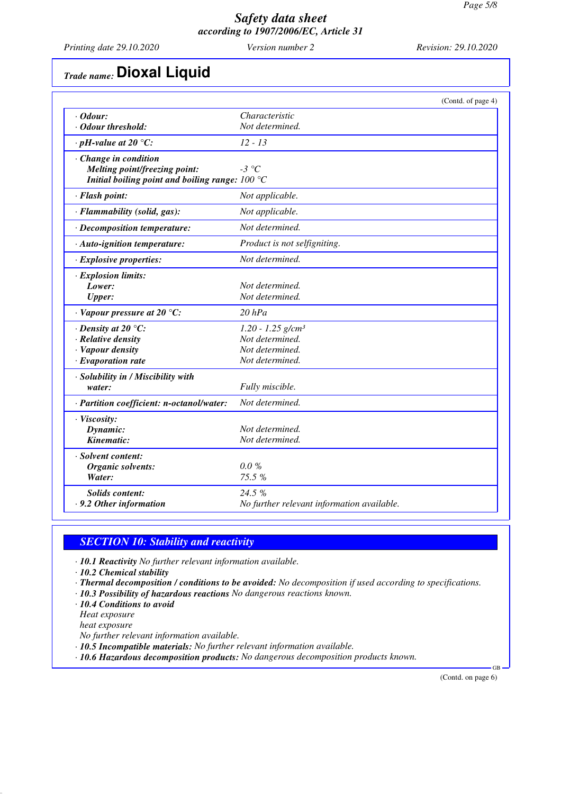*Printing date 29.10.2020 Version number 2 Revision: 29.10.2020*

# *Trade name:* **Dioxal Liquid**

|                                                   | (Contd. of page 4)                         |
|---------------------------------------------------|--------------------------------------------|
| $\cdot$ Odour:                                    | Characteristic                             |
| · Odour threshold:                                | Not determined.                            |
| $\cdot$ pH-value at 20 $\degree$ C:               | $12 - 13$                                  |
| $\cdot$ Change in condition                       |                                            |
| Melting point/freezing point:                     | $-3$ °C                                    |
| Initial boiling point and boiling range: $100 °C$ |                                            |
| · Flash point:                                    | Not applicable.                            |
| · Flammability (solid, gas):                      | Not applicable.                            |
| $\cdot$ Decomposition temperature:                | Not determined.                            |
| · Auto-ignition temperature:                      | Product is not selfigniting.               |
| · Explosive properties:                           | Not determined.                            |
| · Explosion limits:                               |                                            |
| Lower:                                            | Not determined.                            |
| <b>Upper:</b>                                     | Not determined.                            |
| $\cdot$ Vapour pressure at 20 °C:                 | $20$ $hPa$                                 |
| $\cdot$ Density at 20 $\degree$ C:                | $1.20 - 1.25$ g/cm <sup>3</sup>            |
| · Relative density                                | Not determined.                            |
| · Vapour density                                  | Not determined.                            |
| $\cdot$ Evaporation rate                          | Not determined.                            |
| · Solubility in / Miscibility with                |                                            |
| water:                                            | Fully miscible.                            |
| · Partition coefficient: n-octanol/water:         | Not determined.                            |
| · Viscosity:                                      |                                            |
| Dynamic:                                          | Not determined.                            |
| Kinematic:                                        | Not determined.                            |
| · Solvent content:                                |                                            |
| Organic solvents:                                 | $0.0 \%$                                   |
| Water:                                            | 75.5 %                                     |
| <b>Solids content:</b>                            | 24.5 %                                     |
| . 9.2 Other information                           | No further relevant information available. |

#### *SECTION 10: Stability and reactivity*

*· 10.1 Reactivity No further relevant information available.*

*· 10.2 Chemical stability*

- *· Thermal decomposition / conditions to be avoided: No decomposition if used according to specifications.*
- *· 10.3 Possibility of hazardous reactions No dangerous reactions known.*
- *· 10.4 Conditions to avoid*

*Heat exposure*

*heat exposure*

*No further relevant information available.*

- *· 10.5 Incompatible materials: No further relevant information available.*
- *· 10.6 Hazardous decomposition products: No dangerous decomposition products known.*

(Contd. on page 6)

GB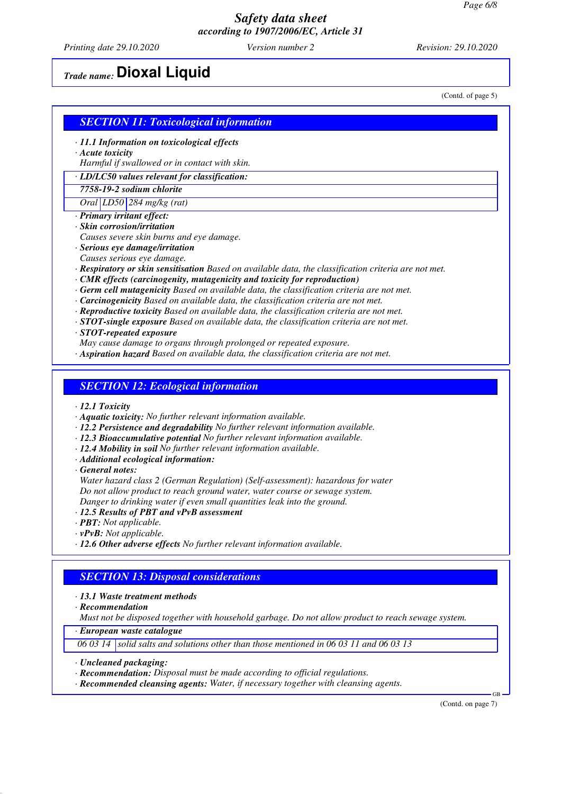*Printing date 29.10.2020 Version number 2 Revision: 29.10.2020*

# *Trade name:* **Dioxal Liquid**

(Contd. of page 5)

#### *SECTION 11: Toxicological information*

- *· 11.1 Information on toxicological effects*
- *· Acute toxicity*

*Harmful if swallowed or in contact with skin.*

*· LD/LC50 values relevant for classification:*

#### *7758-19-2 sodium chlorite*

*Oral LD50 284 mg/kg (rat)*

- *· Primary irritant effect:*
- *· Skin corrosion/irritation*
- *Causes severe skin burns and eye damage.*
- *· Serious eye damage/irritation*
- *Causes serious eye damage.*
- *· Respiratory or skin sensitisation Based on available data, the classification criteria are not met.*
- *· CMR effects (carcinogenity, mutagenicity and toxicity for reproduction)*
- *· Germ cell mutagenicity Based on available data, the classification criteria are not met.*
- *· Carcinogenicity Based on available data, the classification criteria are not met.*
- *· Reproductive toxicity Based on available data, the classification criteria are not met.*
- *· STOT-single exposure Based on available data, the classification criteria are not met.*
- *· STOT-repeated exposure*
- *May cause damage to organs through prolonged or repeated exposure.*
- *· Aspiration hazard Based on available data, the classification criteria are not met.*

#### *SECTION 12: Ecological information*

- *· 12.1 Toxicity*
- *· Aquatic toxicity: No further relevant information available.*
- *· 12.2 Persistence and degradability No further relevant information available.*
- *· 12.3 Bioaccumulative potential No further relevant information available.*
- *· 12.4 Mobility in soil No further relevant information available.*
- *· Additional ecological information:*

*· General notes:*

*Water hazard class 2 (German Regulation) (Self-assessment): hazardous for water Do not allow product to reach ground water, water course or sewage system. Danger to drinking water if even small quantities leak into the ground.*

- *· 12.5 Results of PBT and vPvB assessment*
- *· PBT: Not applicable.*
- *· vPvB: Not applicable.*
- *· 12.6 Other adverse effects No further relevant information available.*

#### *SECTION 13: Disposal considerations*

#### *· 13.1 Waste treatment methods*

*· Recommendation*

*Must not be disposed together with household garbage. Do not allow product to reach sewage system.*

*· European waste catalogue*

*06 03 14 solid salts and solutions other than those mentioned in 06 03 11 and 06 03 13*

- *· Uncleaned packaging:*
- *· Recommendation: Disposal must be made according to official regulations.*
- *· Recommended cleansing agents: Water, if necessary together with cleansing agents.*

(Contd. on page 7)

GB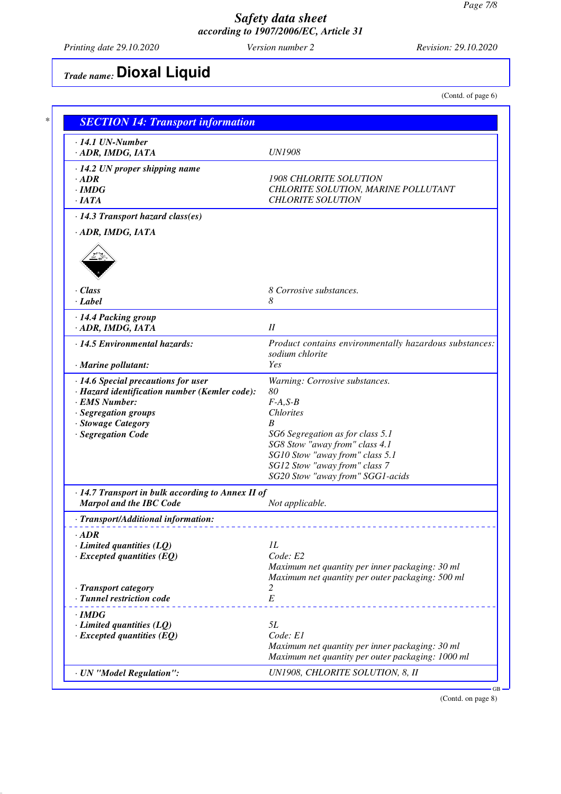*Printing date 29.10.2020 Version number 2 Revision: 29.10.2020*

# *Trade name:* **Dioxal Liquid**

(Contd. of page 6)

| $\cdot$ 14.1 UN-Number                                                                    |                                                                   |
|-------------------------------------------------------------------------------------------|-------------------------------------------------------------------|
| · ADR, IMDG, IATA                                                                         | <b>UN1908</b>                                                     |
| $\cdot$ 14.2 UN proper shipping name                                                      |                                                                   |
| $\cdot$ ADR                                                                               | <b>1908 CHLORITE SOLUTION</b>                                     |
| $\cdot$ IMDG                                                                              | CHLORITE SOLUTION, MARINE POLLUTANT                               |
| $\cdot$ IATA                                                                              | <b>CHLORITE SOLUTION</b>                                          |
| $\cdot$ 14.3 Transport hazard class(es)                                                   |                                                                   |
| · ADR, IMDG, IATA                                                                         |                                                                   |
|                                                                                           |                                                                   |
| $\cdot$ Class<br>· Label                                                                  | 8 Corrosive substances.<br>8                                      |
| · 14.4 Packing group                                                                      |                                                                   |
| · ADR, IMDG, IATA                                                                         | II                                                                |
| · 14.5 Environmental hazards:                                                             | Product contains environmentally hazardous substances:            |
|                                                                                           | sodium chlorite                                                   |
| · Marine pollutant:                                                                       | Yes                                                               |
| $\cdot$ 14.6 Special precautions for user                                                 | Warning: Corrosive substances.                                    |
| · Hazard identification number (Kemler code):                                             | 80                                                                |
| · EMS Number:                                                                             | $F-A, S-B$                                                        |
| · Segregation groups                                                                      | <b>Chlorites</b>                                                  |
| · Stowage Category                                                                        | B                                                                 |
| · Segregation Code                                                                        | SG6 Segregation as for class 5.1                                  |
|                                                                                           | SG8 Stow "away from" class 4.1                                    |
|                                                                                           | SG10 Stow "away from" class 5.1                                   |
|                                                                                           | SG12 Stow "away from" class 7<br>SG20 Stow "away from" SGG1-acids |
|                                                                                           |                                                                   |
| $\cdot$ 14.7 Transport in bulk according to Annex II of<br><b>Marpol and the IBC Code</b> | Not applicable.                                                   |
| · Transport/Additional information:                                                       |                                                                   |
|                                                                                           |                                                                   |
| $\cdot$ ADR<br>$\cdot$ Limited quantities (LQ)                                            | IL                                                                |
| $\cdot$ Excepted quantities (EQ)                                                          | Code: E2                                                          |
|                                                                                           | Maximum net quantity per inner packaging: 30 ml                   |
|                                                                                           | Maximum net quantity per outer packaging: 500 ml                  |
| · Transport category                                                                      | 2                                                                 |
| · Tunnel restriction code                                                                 | $\cal E$                                                          |
| $\cdot$ IMDG                                                                              |                                                                   |
| $\cdot$ Limited quantities (LQ)                                                           | 5L                                                                |
| $\cdot$ Excepted quantities (EQ)                                                          | Code: E1                                                          |
|                                                                                           | Maximum net quantity per inner packaging: 30 ml                   |
|                                                                                           | Maximum net quantity per outer packaging: 1000 ml                 |
|                                                                                           |                                                                   |

(Contd. on page 8)